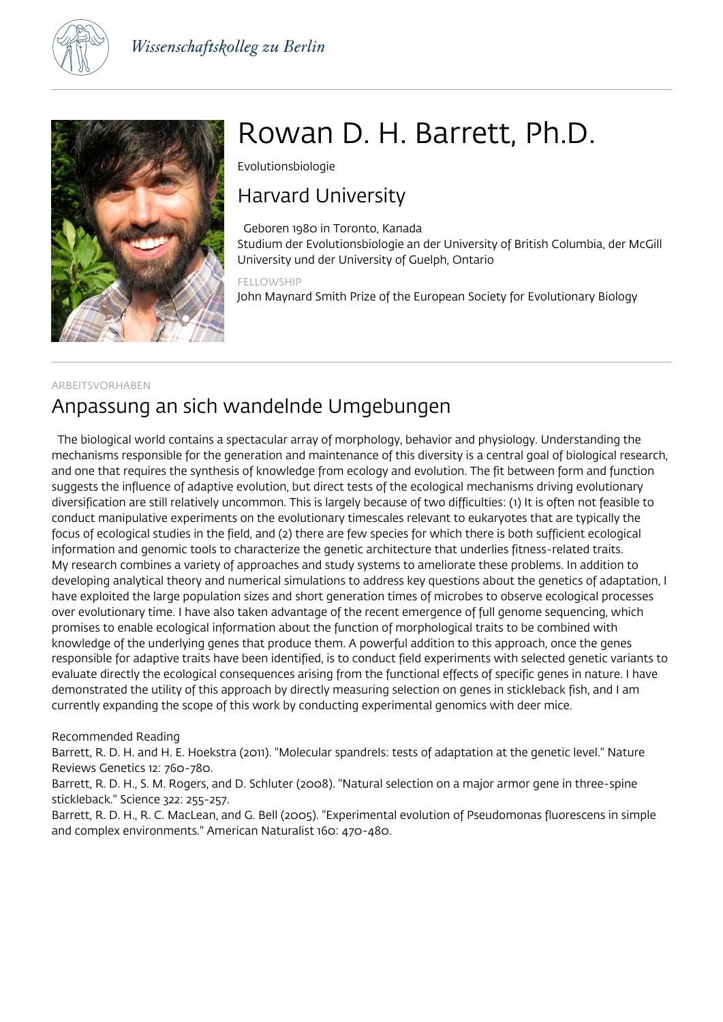



# Rowan D. H. Barrett, Ph.D.

Evolutionsbiologie

## Harvard University

 Geboren 1980 in Toronto, Kanada Studium der Evolutionsbiologie an der University of British Columbia, der McGill University und der University of Guelph, Ontario

### FELLOWSHIP John Maynard Smith Prize of the European Society for Evolutionary Biology

## ARBEITSVORHABEN Anpassung an sich wandelnde Umgebungen

 The biological world contains a spectacular array of morphology, behavior and physiology. Understanding the mechanisms responsible for the generation and maintenance of this diversity is a central goal of biological research, and one that requires the synthesis of knowledge from ecology and evolution. The fit between form and function suggests the influence of adaptive evolution, but direct tests of the ecological mechanisms driving evolutionary diversification are still relatively uncommon. This is largely because of two difficulties: (1) It is often not feasible to conduct manipulative experiments on the evolutionary timescales relevant to eukaryotes that are typically the focus of ecological studies in the field, and (2) there are few species for which there is both sufficient ecological information and genomic tools to characterize the genetic architecture that underlies fitness-related traits. My research combines a variety of approaches and study systems to ameliorate these problems. In addition to developing analytical theory and numerical simulations to address key questions about the genetics of adaptation, I have exploited the large population sizes and short generation times of microbes to observe ecological processes over evolutionary time. I have also taken advantage of the recent emergence of full genome sequencing, which promises to enable ecological information about the function of morphological traits to be combined with knowledge of the underlying genes that produce them. A powerful addition to this approach, once the genes responsible for adaptive traits have been identified, is to conduct field experiments with selected genetic variants to evaluate directly the ecological consequences arising from the functional effects of specific genes in nature. I have demonstrated the utility of this approach by directly measuring selection on genes in stickleback fish, and I am currently expanding the scope of this work by conducting experimental genomics with deer mice.

## Recommended Reading

Barrett, R. D. H. and H. E. Hoekstra (2011). "Molecular spandrels: tests of adaptation at the genetic level." Nature Reviews Genetics 12: 760-780.

Barrett, R. D. H., S. M. Rogers, and D. Schluter (2008). "Natural selection on a major armor gene in three-spine stickleback." Science 322: 255-257.

Barrett, R. D. H., R. C. MacLean, and G. Bell (2005). "Experimental evolution of Pseudomonas fluorescens in simple and complex environments." American Naturalist 160: 470-480.